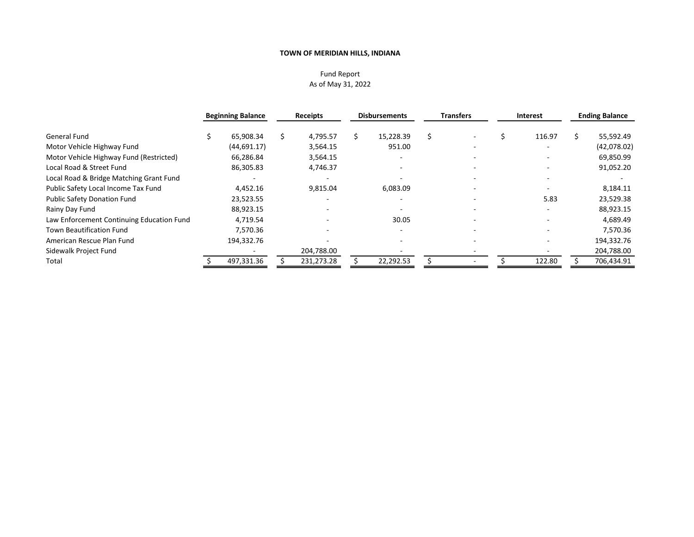### Fund Report As of May 31, 2022

|                                           | <b>Beginning Balance</b> | <b>Receipts</b> |   | <b>Disbursements</b>     | <b>Transfers</b>         | <b>Interest</b> | <b>Ending Balance</b> |
|-------------------------------------------|--------------------------|-----------------|---|--------------------------|--------------------------|-----------------|-----------------------|
| General Fund                              | 65,908.34                | 4,795.57        | Ś | 15,228.39                |                          | 116.97          | 55,592.49             |
| Motor Vehicle Highway Fund                | (44, 691.17)             | 3,564.15        |   | 951.00                   |                          |                 | (42,078.02)           |
| Motor Vehicle Highway Fund (Restricted)   | 66,286.84                | 3,564.15        |   |                          |                          |                 | 69,850.99             |
| Local Road & Street Fund                  | 86,305.83                | 4,746.37        |   |                          |                          |                 | 91,052.20             |
| Local Road & Bridge Matching Grant Fund   |                          |                 |   |                          |                          |                 |                       |
| Public Safety Local Income Tax Fund       | 4,452.16                 | 9,815.04        |   | 6,083.09                 | $\overline{\phantom{a}}$ |                 | 8,184.11              |
| <b>Public Safety Donation Fund</b>        | 23,523.55                |                 |   |                          |                          | 5.83            | 23,529.38             |
| Rainy Day Fund                            | 88,923.15                |                 |   | $\overline{\phantom{0}}$ |                          |                 | 88,923.15             |
| Law Enforcement Continuing Education Fund | 4,719.54                 |                 |   | 30.05                    |                          |                 | 4,689.49              |
| <b>Town Beautification Fund</b>           | 7,570.36                 |                 |   |                          |                          |                 | 7,570.36              |
| American Rescue Plan Fund                 | 194,332.76               |                 |   |                          |                          |                 | 194,332.76            |
| Sidewalk Project Fund                     |                          | 204,788.00      |   |                          |                          |                 | 204,788.00            |
| Total                                     | 497,331.36               | 231,273.28      |   | 22,292.53                |                          | 122.80          | 706,434.91            |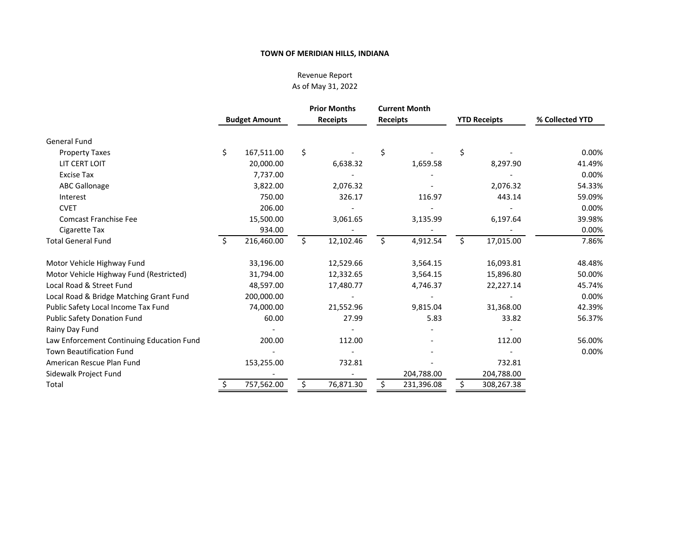# Revenue Report As of May 31, 2022

|                                           |                      |    | <b>Prior Months</b> |                 | <b>Current Month</b> |                     |                 |
|-------------------------------------------|----------------------|----|---------------------|-----------------|----------------------|---------------------|-----------------|
|                                           | <b>Budget Amount</b> |    | <b>Receipts</b>     | <b>Receipts</b> |                      | <b>YTD Receipts</b> | % Collected YTD |
| <b>General Fund</b>                       |                      |    |                     |                 |                      |                     |                 |
| <b>Property Taxes</b>                     | \$<br>167,511.00     | \$ |                     | \$              |                      | \$                  | 0.00%           |
| LIT CERT LOIT                             | 20,000.00            |    | 6,638.32            |                 | 1,659.58             | 8,297.90            | 41.49%          |
| <b>Excise Tax</b>                         | 7,737.00             |    |                     |                 |                      |                     | 0.00%           |
| <b>ABC Gallonage</b>                      | 3,822.00             |    | 2,076.32            |                 |                      | 2,076.32            | 54.33%          |
| Interest                                  | 750.00               |    | 326.17              |                 | 116.97               | 443.14              | 59.09%          |
| <b>CVET</b>                               | 206.00               |    |                     |                 |                      |                     | 0.00%           |
| <b>Comcast Franchise Fee</b>              | 15,500.00            |    | 3,061.65            |                 | 3,135.99             | 6,197.64            | 39.98%          |
| Cigarette Tax                             | 934.00               |    |                     |                 |                      |                     | 0.00%           |
| <b>Total General Fund</b>                 | \$<br>216,460.00     | Ŝ. | 12,102.46           | \$              | 4,912.54             | \$<br>17,015.00     | 7.86%           |
| Motor Vehicle Highway Fund                | 33,196.00            |    | 12,529.66           |                 | 3,564.15             | 16,093.81           | 48.48%          |
| Motor Vehicle Highway Fund (Restricted)   | 31,794.00            |    | 12,332.65           |                 | 3,564.15             | 15,896.80           | 50.00%          |
| Local Road & Street Fund                  | 48,597.00            |    | 17,480.77           |                 | 4,746.37             | 22,227.14           | 45.74%          |
| Local Road & Bridge Matching Grant Fund   | 200,000.00           |    |                     |                 |                      |                     | 0.00%           |
| Public Safety Local Income Tax Fund       | 74,000.00            |    | 21,552.96           |                 | 9,815.04             | 31,368.00           | 42.39%          |
| <b>Public Safety Donation Fund</b>        | 60.00                |    | 27.99               |                 | 5.83                 | 33.82               | 56.37%          |
| Rainy Day Fund                            |                      |    |                     |                 |                      |                     |                 |
| Law Enforcement Continuing Education Fund | 200.00               |    | 112.00              |                 |                      | 112.00              | 56.00%          |
| <b>Town Beautification Fund</b>           |                      |    |                     |                 |                      |                     | 0.00%           |
| American Rescue Plan Fund                 | 153,255.00           |    | 732.81              |                 |                      | 732.81              |                 |
| Sidewalk Project Fund                     |                      |    |                     |                 | 204,788.00           | 204,788.00          |                 |
| Total                                     | 757,562.00           |    | 76,871.30           | \$              | 231,396.08           | \$<br>308,267.38    |                 |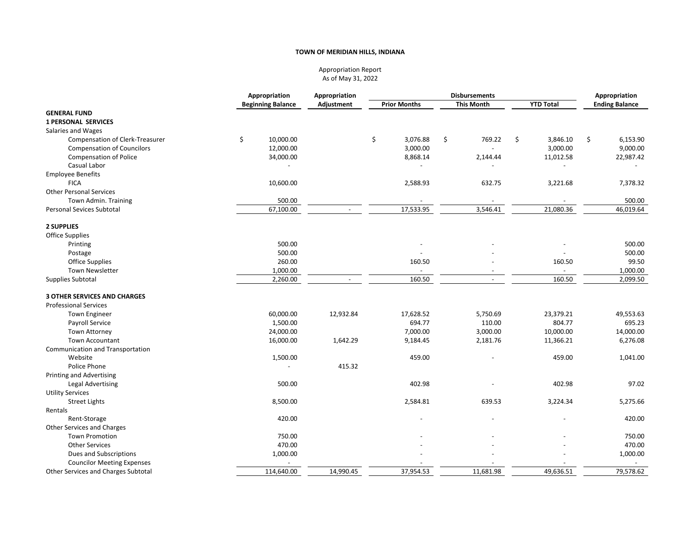#### Appropriation Report As of May 31, 2022

|                                        | Appropriation            | Appropriation            | <b>Disbursements</b> |                          |                  | Appropriation         |  |  |
|----------------------------------------|--------------------------|--------------------------|----------------------|--------------------------|------------------|-----------------------|--|--|
|                                        | <b>Beginning Balance</b> | Adjustment               | <b>Prior Months</b>  | <b>This Month</b>        | <b>YTD Total</b> | <b>Ending Balance</b> |  |  |
| <b>GENERAL FUND</b>                    |                          |                          |                      |                          |                  |                       |  |  |
| <b>1 PERSONAL SERVICES</b>             |                          |                          |                      |                          |                  |                       |  |  |
| Salaries and Wages                     |                          |                          |                      |                          |                  |                       |  |  |
| <b>Compensation of Clerk-Treasurer</b> | \$<br>10,000.00          |                          | \$<br>3,076.88       | \$<br>769.22             | \$<br>3,846.10   | \$<br>6,153.90        |  |  |
| <b>Compensation of Councilors</b>      | 12,000.00                |                          | 3,000.00             |                          | 3,000.00         | 9,000.00              |  |  |
| <b>Compensation of Police</b>          | 34,000.00                |                          | 8,868.14             | 2,144.44                 | 11,012.58        | 22,987.42             |  |  |
| Casual Labor                           |                          |                          |                      |                          |                  |                       |  |  |
| <b>Employee Benefits</b>               |                          |                          |                      |                          |                  |                       |  |  |
| <b>FICA</b>                            | 10,600.00                |                          | 2,588.93             | 632.75                   | 3,221.68         | 7,378.32              |  |  |
| <b>Other Personal Services</b>         |                          |                          |                      |                          |                  |                       |  |  |
| Town Admin. Training                   | 500.00                   |                          |                      |                          |                  | 500.00                |  |  |
| <b>Personal Sevices Subtotal</b>       | 67,100.00                |                          | 17,533.95            | 3,546.41                 | 21,080.36        | 46,019.64             |  |  |
|                                        |                          |                          |                      |                          |                  |                       |  |  |
| 2 SUPPLIES                             |                          |                          |                      |                          |                  |                       |  |  |
| Office Supplies                        |                          |                          |                      |                          |                  |                       |  |  |
| Printing                               | 500.00                   |                          |                      |                          |                  | 500.00                |  |  |
| Postage                                | 500.00                   |                          |                      |                          |                  | 500.00                |  |  |
| <b>Office Supplies</b>                 | 260.00                   |                          | 160.50               |                          | 160.50           | 99.50                 |  |  |
| <b>Town Newsletter</b>                 | 1,000.00                 |                          |                      |                          | $\overline{a}$   | 1,000.00              |  |  |
| Supplies Subtotal                      | 2,260.00                 | $\overline{\phantom{a}}$ | 160.50               | $\overline{\phantom{a}}$ | 160.50           | 2,099.50              |  |  |
|                                        |                          |                          |                      |                          |                  |                       |  |  |
| <b>3 OTHER SERVICES AND CHARGES</b>    |                          |                          |                      |                          |                  |                       |  |  |
| <b>Professional Services</b>           |                          |                          |                      |                          |                  |                       |  |  |
| <b>Town Engineer</b>                   | 60,000.00                | 12,932.84                | 17,628.52            | 5,750.69                 | 23,379.21        | 49,553.63             |  |  |
| Payroll Service                        | 1,500.00                 |                          | 694.77               | 110.00                   | 804.77           | 695.23                |  |  |
| <b>Town Attorney</b>                   | 24,000.00                |                          | 7,000.00             | 3,000.00                 | 10,000.00        | 14,000.00             |  |  |
| <b>Town Accountant</b>                 | 16,000.00                | 1,642.29                 | 9,184.45             | 2,181.76                 | 11,366.21        | 6,276.08              |  |  |
| Communication and Transportation       |                          |                          |                      |                          |                  |                       |  |  |
| Website                                | 1,500.00                 |                          | 459.00               |                          | 459.00           | 1,041.00              |  |  |
| Police Phone                           |                          | 415.32                   |                      |                          |                  |                       |  |  |
| <b>Printing and Advertising</b>        |                          |                          |                      |                          |                  |                       |  |  |
| Legal Advertising                      | 500.00                   |                          | 402.98               |                          | 402.98           | 97.02                 |  |  |
| <b>Utility Services</b>                |                          |                          |                      |                          |                  |                       |  |  |
| <b>Street Lights</b>                   | 8,500.00                 |                          | 2,584.81             | 639.53                   | 3,224.34         | 5,275.66              |  |  |
| Rentals                                |                          |                          |                      |                          |                  |                       |  |  |
| Rent-Storage                           | 420.00                   |                          |                      |                          |                  | 420.00                |  |  |
| Other Services and Charges             |                          |                          |                      |                          |                  |                       |  |  |
|                                        |                          |                          |                      |                          |                  |                       |  |  |
| <b>Town Promotion</b>                  | 750.00<br>470.00         |                          |                      |                          |                  | 750.00                |  |  |
| <b>Other Services</b>                  |                          |                          |                      |                          |                  | 470.00                |  |  |
| Dues and Subscriptions                 | 1,000.00                 |                          |                      |                          |                  | 1,000.00              |  |  |
| <b>Councilor Meeting Expenses</b>      |                          |                          |                      |                          |                  |                       |  |  |
| Other Services and Charges Subtotal    | 114,640.00               | 14,990.45                | 37,954.53            | 11,681.98                | 49,636.51        | 79,578.62             |  |  |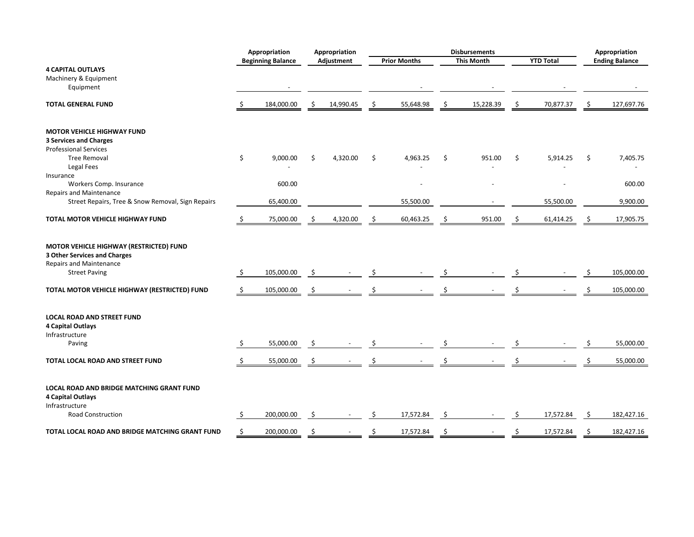|                                                                                                                                   |     | Appropriation            |    | Appropriation |    |                     |    | <b>Disbursements</b> |    |                  |     | Appropriation         |
|-----------------------------------------------------------------------------------------------------------------------------------|-----|--------------------------|----|---------------|----|---------------------|----|----------------------|----|------------------|-----|-----------------------|
|                                                                                                                                   |     | <b>Beginning Balance</b> |    | Adjustment    |    | <b>Prior Months</b> |    | <b>This Month</b>    |    | <b>YTD Total</b> |     | <b>Ending Balance</b> |
| <b>4 CAPITAL OUTLAYS</b>                                                                                                          |     |                          |    |               |    |                     |    |                      |    |                  |     |                       |
| Machinery & Equipment                                                                                                             |     |                          |    |               |    |                     |    |                      |    |                  |     |                       |
| Equipment                                                                                                                         |     |                          |    |               |    |                     |    |                      |    |                  |     |                       |
| <b>TOTAL GENERAL FUND</b>                                                                                                         |     | 184,000.00               | S  | 14,990.45     |    | 55,648.98           | \$ | 15,228.39            | \$ | 70,877.37        | \$. | 127,697.76            |
| <b>MOTOR VEHICLE HIGHWAY FUND</b><br><b>3 Services and Charges</b><br><b>Professional Services</b>                                |     |                          |    |               |    |                     |    |                      |    |                  |     |                       |
| <b>Tree Removal</b>                                                                                                               | \$  | 9,000.00                 | \$ | 4,320.00      | Ŝ. | 4,963.25            | \$ | 951.00               | \$ | 5,914.25         | \$  | 7,405.75              |
| Legal Fees                                                                                                                        |     |                          |    |               |    |                     |    |                      |    |                  |     |                       |
| Insurance                                                                                                                         |     |                          |    |               |    |                     |    |                      |    |                  |     |                       |
| Workers Comp. Insurance                                                                                                           |     | 600.00                   |    |               |    |                     |    |                      |    |                  |     | 600.00                |
| <b>Repairs and Maintenance</b>                                                                                                    |     |                          |    |               |    |                     |    |                      |    |                  |     |                       |
| Street Repairs, Tree & Snow Removal, Sign Repairs                                                                                 |     | 65,400.00                |    |               |    | 55,500.00           |    |                      |    | 55,500.00        |     | 9,900.00              |
| TOTAL MOTOR VEHICLE HIGHWAY FUND                                                                                                  | \$. | 75,000.00                |    | 4,320.00      |    | 60,463.25           |    | 951.00               | Ś  | 61,414.25        |     | 17,905.75             |
| MOTOR VEHICLE HIGHWAY (RESTRICTED) FUND<br>3 Other Services and Charges<br><b>Repairs and Maintenance</b><br><b>Street Paving</b> | \$  | 105,000.00               | -S |               |    |                     |    |                      |    |                  |     | 105,000.00            |
| TOTAL MOTOR VEHICLE HIGHWAY (RESTRICTED) FUND                                                                                     | Ŝ.  | 105,000.00               | S  |               |    |                     |    |                      |    |                  |     | 105,000.00            |
| <b>LOCAL ROAD AND STREET FUND</b><br><b>4 Capital Outlays</b><br>Infrastructure<br>Paving                                         | Ŝ.  | 55,000.00                |    |               |    |                     |    |                      |    |                  |     | 55,000.00             |
| TOTAL LOCAL ROAD AND STREET FUND                                                                                                  |     | 55,000.00                | S  |               |    |                     |    |                      |    |                  |     | 55,000.00             |
| LOCAL ROAD AND BRIDGE MATCHING GRANT FUND<br><b>4 Capital Outlays</b><br>Infrastructure<br>Road Construction                      | Ŝ.  | 200,000.00               | \$ |               |    | 17,572.84           | Ŝ. |                      | S  | 17,572.84        | \$  | 182,427.16            |
|                                                                                                                                   |     |                          |    |               |    |                     |    |                      |    |                  |     |                       |
| TOTAL LOCAL ROAD AND BRIDGE MATCHING GRANT FUND                                                                                   | \$  | 200,000.00               | Ŝ. |               |    | 17,572.84           | \$ |                      | Ś  | 17,572.84        | \$  | 182,427.16            |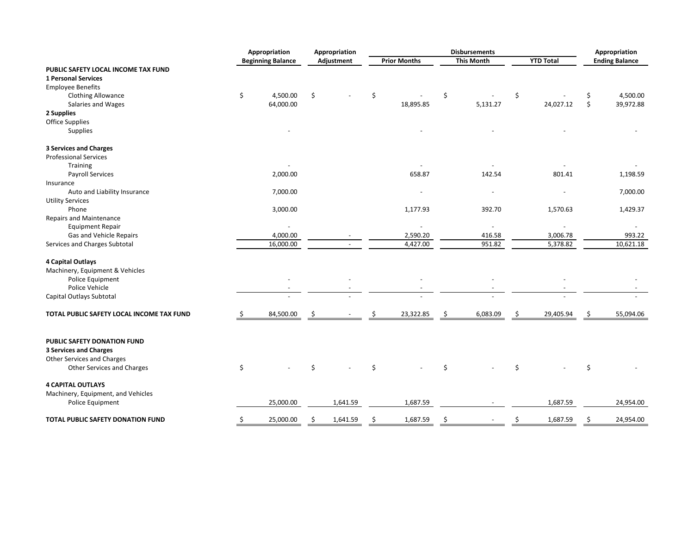|                                           | Appropriation            | Appropriation |            | <b>Disbursements</b> |                     |    |                   | Appropriation |                  |    |                       |
|-------------------------------------------|--------------------------|---------------|------------|----------------------|---------------------|----|-------------------|---------------|------------------|----|-----------------------|
|                                           | <b>Beginning Balance</b> |               | Adjustment |                      | <b>Prior Months</b> |    | <b>This Month</b> |               | <b>YTD Total</b> |    | <b>Ending Balance</b> |
| PUBLIC SAFETY LOCAL INCOME TAX FUND       |                          |               |            |                      |                     |    |                   |               |                  |    |                       |
| <b>1 Personal Services</b>                |                          |               |            |                      |                     |    |                   |               |                  |    |                       |
| <b>Employee Benefits</b>                  |                          |               |            |                      |                     |    |                   |               |                  |    |                       |
| <b>Clothing Allowance</b>                 | \$<br>4,500.00           | \$            |            | \$                   |                     | \$ |                   | \$            |                  | \$ | 4,500.00              |
| Salaries and Wages                        | 64,000.00                |               |            |                      | 18,895.85           |    | 5,131.27          |               | 24,027.12        | \$ | 39,972.88             |
| 2 Supplies                                |                          |               |            |                      |                     |    |                   |               |                  |    |                       |
| Office Supplies                           |                          |               |            |                      |                     |    |                   |               |                  |    |                       |
| Supplies                                  |                          |               |            |                      |                     |    |                   |               |                  |    |                       |
| <b>3 Services and Charges</b>             |                          |               |            |                      |                     |    |                   |               |                  |    |                       |
| <b>Professional Services</b>              |                          |               |            |                      |                     |    |                   |               |                  |    |                       |
| Training                                  |                          |               |            |                      |                     |    |                   |               |                  |    |                       |
| <b>Payroll Services</b>                   | 2,000.00                 |               |            |                      | 658.87              |    | 142.54            |               | 801.41           |    | 1,198.59              |
| Insurance                                 |                          |               |            |                      |                     |    |                   |               |                  |    |                       |
| Auto and Liability Insurance              | 7,000.00                 |               |            |                      |                     |    |                   |               |                  |    | 7,000.00              |
| <b>Utility Services</b>                   |                          |               |            |                      |                     |    |                   |               |                  |    |                       |
| Phone                                     | 3,000.00                 |               |            |                      | 1,177.93            |    | 392.70            |               | 1,570.63         |    | 1,429.37              |
| Repairs and Maintenance                   |                          |               |            |                      |                     |    |                   |               |                  |    |                       |
| <b>Equipment Repair</b>                   |                          |               |            |                      |                     |    |                   |               |                  |    |                       |
| Gas and Vehicle Repairs                   | 4,000.00                 |               |            |                      | 2,590.20            |    | 416.58            |               | 3,006.78         |    | 993.22                |
| Services and Charges Subtotal             | 16,000.00                |               |            |                      | 4,427.00            |    | 951.82            |               | 5,378.82         |    | 10,621.18             |
| <b>4 Capital Outlays</b>                  |                          |               |            |                      |                     |    |                   |               |                  |    |                       |
| Machinery, Equipment & Vehicles           |                          |               |            |                      |                     |    |                   |               |                  |    |                       |
| Police Equipment                          |                          |               |            |                      |                     |    |                   |               |                  |    |                       |
| Police Vehicle                            |                          |               |            |                      |                     |    |                   |               |                  |    |                       |
| Capital Outlays Subtotal                  |                          |               |            |                      |                     |    |                   |               |                  |    |                       |
| TOTAL PUBLIC SAFETY LOCAL INCOME TAX FUND | \$<br>84,500.00          |               |            |                      | 23,322.85           | Ś  | 6,083.09          | \$            | 29,405.94        | \$ | 55,094.06             |
| PUBLIC SAFETY DONATION FUND               |                          |               |            |                      |                     |    |                   |               |                  |    |                       |
| <b>3 Services and Charges</b>             |                          |               |            |                      |                     |    |                   |               |                  |    |                       |
| Other Services and Charges                |                          |               |            |                      |                     |    |                   |               |                  |    |                       |
| <b>Other Services and Charges</b>         | \$                       | Ś             |            | Ś                    |                     | Ś. |                   | Ś             |                  | \$ |                       |
| <b>4 CAPITAL OUTLAYS</b>                  |                          |               |            |                      |                     |    |                   |               |                  |    |                       |
| Machinery, Equipment, and Vehicles        |                          |               |            |                      |                     |    |                   |               |                  |    |                       |
| Police Equipment                          | 25,000.00                |               | 1,641.59   |                      | 1,687.59            |    |                   |               | 1,687.59         |    | 24,954.00             |
| <b>TOTAL PUBLIC SAFETY DONATION FUND</b>  | \$<br>25,000.00          | \$.           | 1,641.59   |                      | 1,687.59            | \$ |                   | Ś             | 1,687.59         | Ŝ. | 24,954.00             |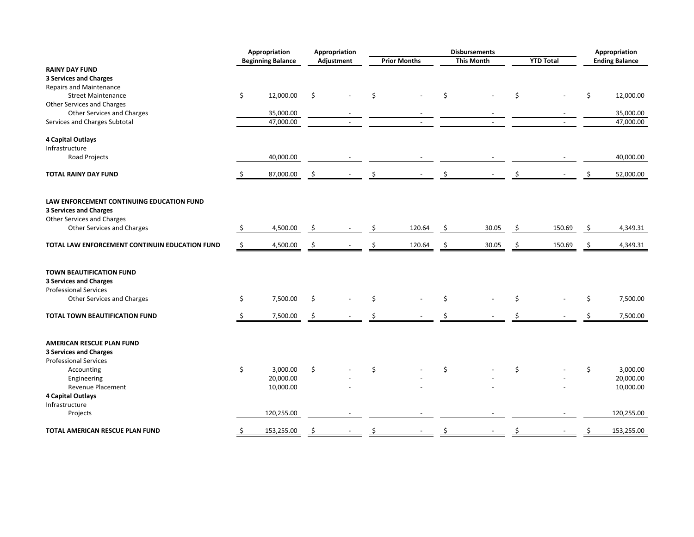|                                                            |              | Appropriation            | <b>Disbursements</b><br>Appropriation |            |    | Appropriation       |    |                   |    |                  |    |                       |
|------------------------------------------------------------|--------------|--------------------------|---------------------------------------|------------|----|---------------------|----|-------------------|----|------------------|----|-----------------------|
|                                                            |              | <b>Beginning Balance</b> |                                       | Adjustment |    | <b>Prior Months</b> |    | <b>This Month</b> |    | <b>YTD Total</b> |    | <b>Ending Balance</b> |
| <b>RAINY DAY FUND</b>                                      |              |                          |                                       |            |    |                     |    |                   |    |                  |    |                       |
| <b>3 Services and Charges</b>                              |              |                          |                                       |            |    |                     |    |                   |    |                  |    |                       |
| Repairs and Maintenance                                    |              |                          |                                       |            |    |                     |    |                   |    |                  |    |                       |
| <b>Street Maintenance</b>                                  | \$           | 12,000.00                | \$                                    |            | \$ |                     | \$ |                   | \$ |                  | \$ | 12,000.00             |
| Other Services and Charges                                 |              |                          |                                       |            |    |                     |    |                   |    |                  |    |                       |
| Other Services and Charges                                 |              | 35,000.00                |                                       |            |    |                     |    |                   |    |                  |    | 35,000.00             |
| Services and Charges Subtotal                              |              | 47,000.00                |                                       |            |    | $\overline{a}$      |    | $\overline{a}$    |    |                  |    | 47,000.00             |
| <b>4 Capital Outlays</b>                                   |              |                          |                                       |            |    |                     |    |                   |    |                  |    |                       |
| Infrastructure                                             |              |                          |                                       |            |    |                     |    |                   |    |                  |    |                       |
| <b>Road Projects</b>                                       |              | 40,000.00                |                                       |            |    |                     |    |                   |    |                  |    | 40,000.00             |
| <b>TOTAL RAINY DAY FUND</b>                                |              | 87,000.00                |                                       |            | \$ |                     | \$ |                   | Ś  |                  |    | 52,000.00             |
|                                                            | \$           |                          | \$                                    |            |    |                     |    |                   |    |                  |    |                       |
|                                                            |              |                          |                                       |            |    |                     |    |                   |    |                  |    |                       |
| LAW ENFORCEMENT CONTINUING EDUCATION FUND                  |              |                          |                                       |            |    |                     |    |                   |    |                  |    |                       |
| <b>3 Services and Charges</b>                              |              |                          |                                       |            |    |                     |    |                   |    |                  |    |                       |
| Other Services and Charges                                 |              |                          |                                       |            |    |                     |    |                   |    |                  |    |                       |
| <b>Other Services and Charges</b>                          | \$           | 4,500.00                 | \$                                    |            |    | 120.64              | \$ | 30.05             | Ŝ. | 150.69           | \$ | 4,349.31              |
| TOTAL LAW ENFORCEMENT CONTINUIN EDUCATION FUND             | $\mathsf{S}$ | 4,500.00                 | \$                                    |            |    | 120.64              | \$ | 30.05             | \$ | 150.69           | \$ | 4,349.31              |
|                                                            |              |                          |                                       |            |    |                     |    |                   |    |                  |    |                       |
| <b>TOWN BEAUTIFICATION FUND</b>                            |              |                          |                                       |            |    |                     |    |                   |    |                  |    |                       |
| <b>3 Services and Charges</b>                              |              |                          |                                       |            |    |                     |    |                   |    |                  |    |                       |
| <b>Professional Services</b>                               |              |                          |                                       |            |    |                     |    |                   |    |                  |    |                       |
| Other Services and Charges                                 | \$           | 7,500.00                 | -\$                                   |            |    |                     | \$ |                   |    |                  | \$ | 7,500.00              |
| <b>TOTAL TOWN BEAUTIFICATION FUND</b>                      |              |                          |                                       |            |    |                     | Ś  |                   |    |                  |    |                       |
|                                                            | \$           | 7,500.00                 | \$                                    |            |    |                     |    |                   |    |                  |    | 7,500.00              |
|                                                            |              |                          |                                       |            |    |                     |    |                   |    |                  |    |                       |
| AMERICAN RESCUE PLAN FUND<br><b>3 Services and Charges</b> |              |                          |                                       |            |    |                     |    |                   |    |                  |    |                       |
| <b>Professional Services</b>                               |              |                          |                                       |            |    |                     |    |                   |    |                  |    |                       |
|                                                            | \$           | 3,000.00                 | \$                                    |            | Ś. |                     | \$ |                   | \$ |                  | Ś  | 3,000.00              |
| Accounting                                                 |              |                          |                                       |            |    |                     |    |                   |    |                  |    |                       |
| Engineering<br><b>Revenue Placement</b>                    |              | 20,000.00                |                                       |            |    |                     |    |                   |    |                  |    | 20,000.00             |
|                                                            |              | 10,000.00                |                                       |            |    |                     |    |                   |    |                  |    | 10,000.00             |
| <b>4 Capital Outlays</b>                                   |              |                          |                                       |            |    |                     |    |                   |    |                  |    |                       |
| Infrastructure<br>Projects                                 |              | 120,255.00               |                                       |            |    |                     |    |                   |    |                  |    | 120,255.00            |
|                                                            |              |                          |                                       |            |    |                     |    |                   |    |                  |    |                       |
| TOTAL AMERICAN RESCUE PLAN FUND                            | \$           | 153,255.00               | \$                                    |            |    |                     | \$ |                   | Ŝ. |                  |    | 153,255.00            |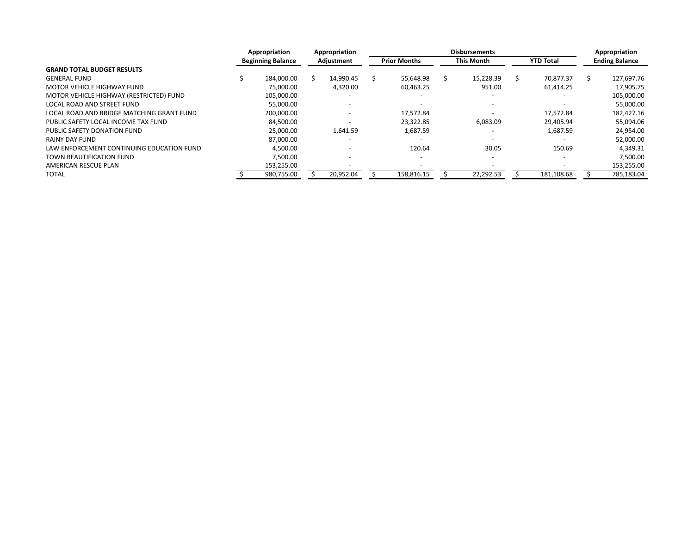|                                           | Appropriation            |  | Appropriation |  |                          | Appropriation     |                  |  |                       |
|-------------------------------------------|--------------------------|--|---------------|--|--------------------------|-------------------|------------------|--|-----------------------|
|                                           | <b>Beginning Balance</b> |  | Adjustment    |  | <b>Prior Months</b>      | <b>This Month</b> | <b>YTD Total</b> |  | <b>Ending Balance</b> |
| <b>GRAND TOTAL BUDGET RESULTS</b>         |                          |  |               |  |                          |                   |                  |  |                       |
| <b>GENERAL FUND</b>                       | 184.000.00               |  | 14.990.45     |  | 55,648.98                | 15,228.39         | 70.877.37        |  | 127,697.76            |
| MOTOR VEHICLE HIGHWAY FUND                | 75.000.00                |  | 4,320.00      |  | 60,463.25                | 951.00            | 61,414.25        |  | 17,905.75             |
| MOTOR VEHICLE HIGHWAY (RESTRICTED) FUND   | 105,000.00               |  |               |  |                          |                   |                  |  | 105,000.00            |
| LOCAL ROAD AND STREET FUND                | 55.000.00                |  |               |  |                          |                   |                  |  | 55,000.00             |
| LOCAL ROAD AND BRIDGE MATCHING GRANT FUND | 200.000.00               |  |               |  | 17.572.84                |                   | 17.572.84        |  | 182,427.16            |
| PUBLIC SAFETY LOCAL INCOME TAX FUND       | 84,500.00                |  |               |  | 23,322.85                | 6,083.09          | 29,405.94        |  | 55,094.06             |
| PUBLIC SAFETY DONATION FUND               | 25.000.00                |  | 1.641.59      |  | 1,687.59                 |                   | 1.687.59         |  | 24,954.00             |
| RAINY DAY FUND                            | 87,000.00                |  |               |  |                          |                   |                  |  | 52,000.00             |
| LAW ENFORCEMENT CONTINUING EDUCATION FUND | 4.500.00                 |  |               |  | 120.64                   | 30.05             | 150.69           |  | 4.349.31              |
| TOWN BEAUTIFICATION FUND                  | 7,500.00                 |  |               |  | $\overline{\phantom{a}}$ |                   |                  |  | 7,500.00              |
| AMERICAN RESCUE PLAN                      | 153,255.00               |  |               |  |                          |                   |                  |  | 153,255.00            |
| <b>TOTAL</b>                              | 980,755.00               |  | 20,952.04     |  | 158,816.15               | 22,292.53         | 181,108.68       |  | 785,183.04            |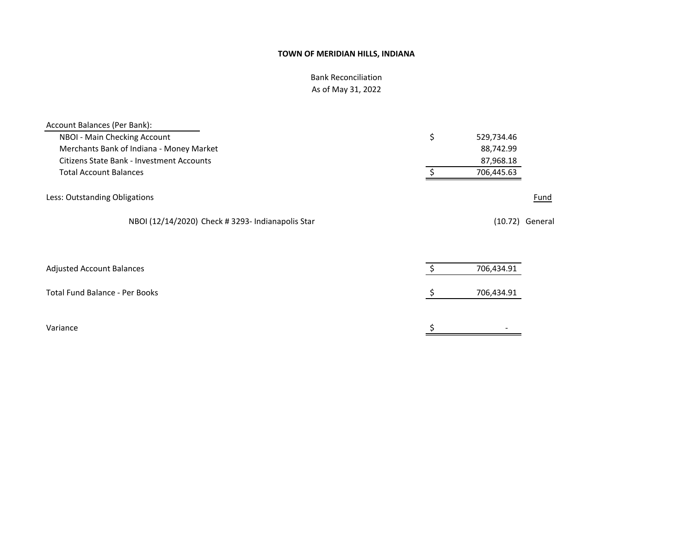# Bank Reconciliation As of May 31, 2022

| Account Balances (Per Bank):                      |    |            |                   |
|---------------------------------------------------|----|------------|-------------------|
| NBOI - Main Checking Account                      | \$ | 529,734.46 |                   |
| Merchants Bank of Indiana - Money Market          |    | 88,742.99  |                   |
| <b>Citizens State Bank - Investment Accounts</b>  |    | 87,968.18  |                   |
| <b>Total Account Balances</b>                     |    | 706,445.63 |                   |
| Less: Outstanding Obligations                     |    |            | Fund              |
| NBOI (12/14/2020) Check # 3293- Indianapolis Star |    |            | $(10.72)$ General |
|                                                   |    |            |                   |
| <b>Adjusted Account Balances</b>                  |    | 706,434.91 |                   |
| <b>Total Fund Balance - Per Books</b>             | S  | 706,434.91 |                   |
| Variance                                          |    |            |                   |